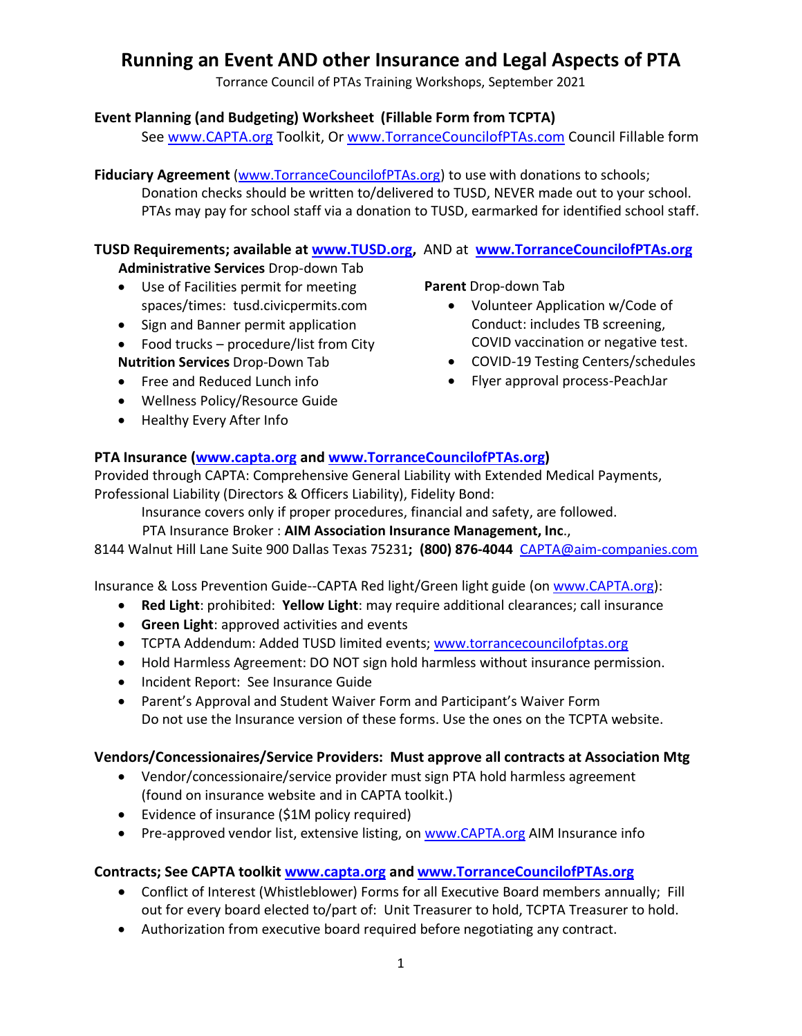# **Running an Event AND other Insurance and Legal Aspects of PTA**

Torrance Council of PTAs Training Workshops, September 2021

## **Event Planning (and Budgeting) Worksheet (Fillable Form from TCPTA)**

See www.CAPTA.org Toolkit, Or www.TorranceCouncilofPTAs.com Council Fillable form

**Fiduciary Agreement** (www.TorranceCouncilofPTAs.org) to use with donations to schools; Donation checks should be written to/delivered to TUSD, NEVER made out to your school. PTAs may pay for school staff via a donation to TUSD, earmarked for identified school staff.

### **TUSD Requirements; available at www.TUSD.org,** AND at **www.TorranceCouncilofPTAs.org Administrative Services** Drop-down Tab

- Use of Facilities permit for meeting spaces/times: tusd.civicpermits.com
- Sign and Banner permit application
- Food trucks procedure/list from City
- **Nutrition Services** Drop-Down Tab
- Free and Reduced Lunch info
- Wellness Policy/Resource Guide
- Healthy Every After Info

**Parent** Drop-down Tab

- Volunteer Application w/Code of Conduct: includes TB screening, COVID vaccination or negative test.
- COVID-19 Testing Centers/schedules
- Flyer approval process-PeachJar

## **PTA Insurance (www.capta.org and www.TorranceCouncilofPTAs.org)**

Provided through CAPTA: Comprehensive General Liability with Extended Medical Payments, Professional Liability (Directors & Officers Liability), Fidelity Bond:

Insurance covers only if proper procedures, financial and safety, are followed.

PTA Insurance Broker : **AIM Association Insurance Management, Inc**.,

8144 Walnut Hill Lane Suite 900 Dallas Texas 75231**; (800) 876-4044** CAPTA@aim-companies.com

Insurance & Loss Prevention Guide--CAPTA Red light/Green light guide (on www.CAPTA.org):

- **Red Light**: prohibited: **Yellow Light**: may require additional clearances; call insurance
- **Green Light**: approved activities and events
- TCPTA Addendum: Added TUSD limited events; www.torrancecouncilofptas.org
- Hold Harmless Agreement: DO NOT sign hold harmless without insurance permission.
- Incident Report: See Insurance Guide
- Parent's Approval and Student Waiver Form and Participant's Waiver Form Do not use the Insurance version of these forms. Use the ones on the TCPTA website.

#### **Vendors/Concessionaires/Service Providers: Must approve all contracts at Association Mtg**

- Vendor/concessionaire/service provider must sign PTA hold harmless agreement (found on insurance website and in CAPTA toolkit.)
- Evidence of insurance (\$1M policy required)
- Pre-approved vendor list, extensive listing, on www.CAPTA.org AIM Insurance info

### **Contracts; See CAPTA toolkit www.capta.org and www.TorranceCouncilofPTAs.org**

- Conflict of Interest (Whistleblower) Forms for all Executive Board members annually; Fill out for every board elected to/part of: Unit Treasurer to hold, TCPTA Treasurer to hold.
- Authorization from executive board required before negotiating any contract.